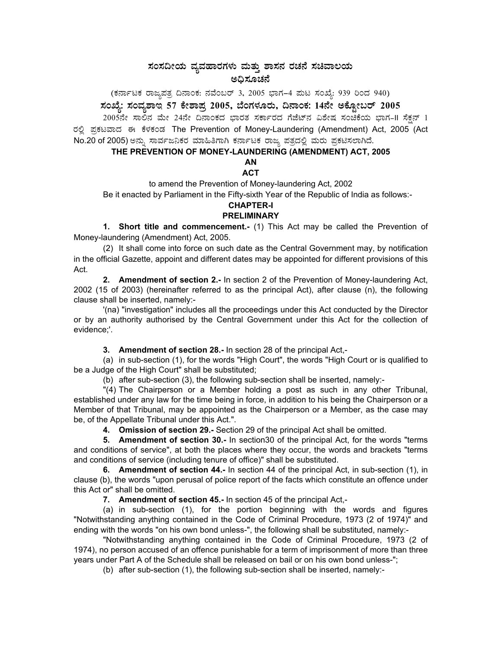## ಸಂಸದೀಯ ವ್ಯವಹಾರಗಳು ಮತ್ತು ಶಾಸನ ರಚನೆ ಸಚಿವಾಲಯ ಅಧಿಸೂಚನೆ

# (ಕರ್ನಾಟಕ ರಾಜ್ಯಪತ್ರ ದಿನಾಂಕ: ನವೆಂಬರ್ 3, 2005 ಭಾಗ–4 ಮಟ ಸಂಖ್ಯೆ: 939 ರಿಂದ 940)<br>ಸಂಖ್ಯೆ: ಸಂವ್ಯಶಾಇ 57 ಕೇಶಾಪ್ರ 2005, ಬೆಂಗಳೂರು, ದಿನಾಂಕ: 14ನೇ ಅಕ್ಟೋಬರ್ 2005

2005ನೇ ಸಾಲಿನ ಮೇ 24ನೇ ದಿನಾಂಕದ ಭಾರತ ಸರ್ಕಾರದ ಗೆಜೆಟ್ನ ವಿಶೇಷ ಸಂಚಿಕೆಯ ಭಾಗ-II ಸೆಕ್ಷನ್ 1 ರಲ್ಲಿ ಪ್ರಕಟವಾದ ಈ ಕೆಳಕಂಡ The Prevention of Money-Laundering (Amendment) Act, 2005 (Act No.20 of 2005) ಅನ್ನು ಸಾರ್ವಜನಿಕರ ಮಾಹಿತಿಗಾಗಿ ಕರ್ನಾಟಕ ರಾಜ್ಯ ಪತ್ರದಲ್ಲಿ ಮರು ಪ್ರಕಟಿಸಲಾಗಿದೆ.

## THE PREVENTION OF MONEY-LAUNDERING (AMENDMENT) ACT, 2005

## **ACT**

to amend the Prevention of Money-laundering Act, 2002

Be it enacted by Parliament in the Fifty-sixth Year of the Republic of India as follows:-

### **CHAPTER-I PRELIMINARY**

1. Short title and commencement.- (1) This Act may be called the Prevention of Money-laundering (Amendment) Act, 2005.

(2) It shall come into force on such date as the Central Government may, by notification in the official Gazette, appoint and different dates may be appointed for different provisions of this Act.

2. Amendment of section 2.- In section 2 of the Prevention of Money-laundering Act, 2002 (15 of 2003) (hereinafter referred to as the principal Act), after clause (n), the following clause shall be inserted, namely:-

'(na) "investigation" includes all the proceedings under this Act conducted by the Director or by an authority authorised by the Central Government under this Act for the collection of evidence:'.

3. Amendment of section 28.- In section 28 of the principal Act,-

(a) in sub-section (1), for the words "High Court", the words "High Court or is qualified to be a Judge of the High Court" shall be substituted;

(b) after sub-section (3), the following sub-section shall be inserted, namely:-

"(4) The Chairperson or a Member holding a post as such in any other Tribunal, established under any law for the time being in force, in addition to his being the Chairperson or a Member of that Tribunal, may be appointed as the Chairperson or a Member, as the case may be, of the Appellate Tribunal under this Act.".

4. Omission of section 29.- Section 29 of the principal Act shall be omitted.

5. Amendment of section 30.- In section 30 of the principal Act, for the words "terms and conditions of service", at both the places where they occur, the words and brackets "terms and conditions of service (including tenure of office)" shall be substituted.

6. Amendment of section 44.- In section 44 of the principal Act, in sub-section (1), in clause (b), the words "upon perusal of police report of the facts which constitute an offence under this Act or" shall be omitted.

7. Amendment of section 45.- In section 45 of the principal Act,-

(a) in sub-section (1), for the portion beginning with the words and figures "Notwithstanding anything contained in the Code of Criminal Procedure, 1973 (2 of 1974)" and ending with the words "on his own bond unless-", the following shall be substituted, namely:-

"Notwithstanding anything contained in the Code of Criminal Procedure, 1973 (2 of 1974), no person accused of an offence punishable for a term of imprisonment of more than three years under Part A of the Schedule shall be released on bail or on his own bond unless-";

(b) after sub-section (1), the following sub-section shall be inserted, namely:-